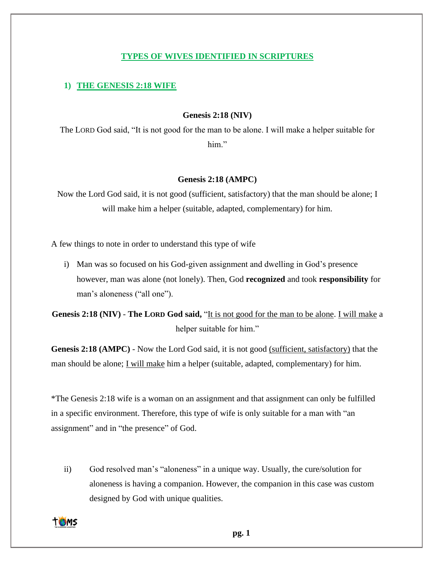## **TYPES OF WIVES IDENTIFIED IN SCRIPTURES**

# **1) THE GENESIS 2:18 WIFE**

## **Genesis 2:18 (NIV)**

The LORD God said, "It is not good for the man to be alone. I will make a helper suitable for him."

## **Genesis 2:18 (AMPC)**

Now the Lord God said, it is not good (sufficient, satisfactory) that the man should be alone; I will make him a helper (suitable, adapted, complementary) for him.

A few things to note in order to understand this type of wife

i) Man was so focused on his God-given assignment and dwelling in God's presence however, man was alone (not lonely). Then, God **recognized** and took **responsibility** for man's aloneness ("all one").

**Genesis 2:18 (NIV)** - **The LORD God said,** "It is not good for the man to be alone. I will make a helper suitable for him."

**Genesis 2:18 (AMPC)** - Now the Lord God said, it is not good (sufficient, satisfactory) that the man should be alone; I will make him a helper (suitable, adapted, complementary) for him.

\*The Genesis 2:18 wife is a woman on an assignment and that assignment can only be fulfilled in a specific environment. Therefore, this type of wife is only suitable for a man with "an assignment" and in "the presence" of God.

ii) God resolved man's "aloneness" in a unique way. Usually, the cure/solution for aloneness is having a companion. However, the companion in this case was custom designed by God with unique qualities.

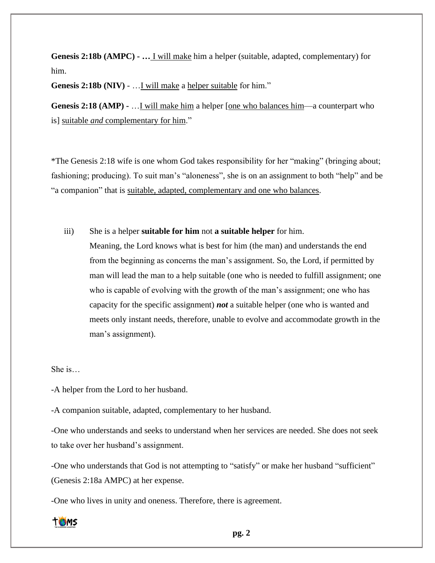**Genesis 2:18b (AMPC) - …** I will make him a helper (suitable, adapted, complementary) for him.

**Genesis 2:18b (NIV)** - …I will make a helper suitable for him."

**Genesis 2:18 (AMP) -** …I will make him a helper [one who balances him—a counterpart who is] suitable *and* complementary for him."

\*The Genesis 2:18 wife is one whom God takes responsibility for her "making" (bringing about; fashioning; producing). To suit man's "aloneness", she is on an assignment to both "help" and be "a companion" that is suitable, adapted, complementary and one who balances.

iii) She is a helper **suitable for him** not **a suitable helper** for him.

Meaning, the Lord knows what is best for him (the man) and understands the end from the beginning as concerns the man's assignment. So, the Lord, if permitted by man will lead the man to a help suitable (one who is needed to fulfill assignment; one who is capable of evolving with the growth of the man's assignment; one who has capacity for the specific assignment) *not* a suitable helper (one who is wanted and meets only instant needs, therefore, unable to evolve and accommodate growth in the man's assignment).

She is…

-A helper from the Lord to her husband.

-A companion suitable, adapted, complementary to her husband.

-One who understands and seeks to understand when her services are needed. She does not seek to take over her husband's assignment.

-One who understands that God is not attempting to "satisfy" or make her husband "sufficient" (Genesis 2:18a AMPC) at her expense.

-One who lives in unity and oneness. Therefore, there is agreement.

**TOMS**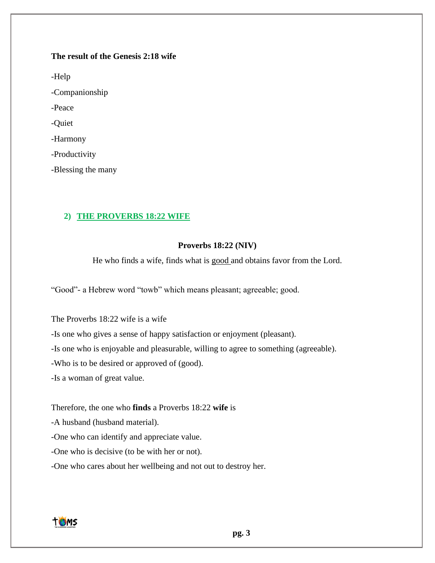# **The result of the Genesis 2:18 wife**

-Help -Companionship -Peace -Quiet -Harmony -Productivity

-Blessing the many

# **2) THE PROVERBS 18:22 WIFE**

# **Proverbs 18:22 (NIV)**

He who finds a wife, finds what is good and obtains favor from the Lord.

"Good"- a Hebrew word "towb" which means pleasant; agreeable; good.

The Proverbs 18:22 wife is a wife

-Is one who gives a sense of happy satisfaction or enjoyment (pleasant).

-Is one who is enjoyable and pleasurable, willing to agree to something (agreeable).

-Who is to be desired or approved of (good).

-Is a woman of great value.

Therefore, the one who **finds** a Proverbs 18:22 **wife** is

-A husband (husband material).

-One who can identify and appreciate value.

-One who is decisive (to be with her or not).

-One who cares about her wellbeing and not out to destroy her.

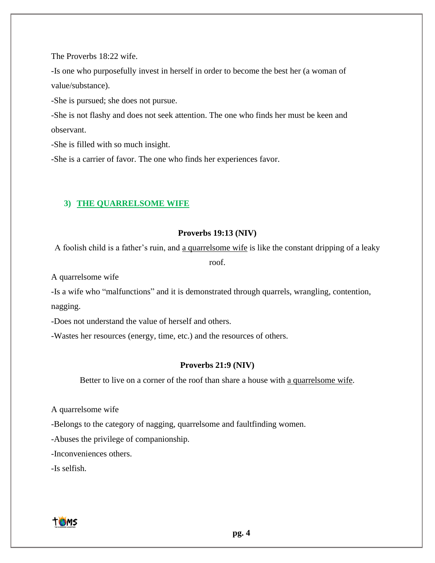The Proverbs 18:22 wife.

-Is one who purposefully invest in herself in order to become the best her (a woman of value/substance).

-She is pursued; she does not pursue.

-She is not flashy and does not seek attention. The one who finds her must be keen and observant.

-She is filled with so much insight.

-She is a carrier of favor. The one who finds her experiences favor.

## **3) THE QUARRELSOME WIFE**

#### **Proverbs 19:13 (NIV)**

A foolish child is a father's ruin, and a quarrelsome wife is like the constant dripping of a leaky

roof.

A quarrelsome wife

-Is a wife who "malfunctions" and it is demonstrated through quarrels, wrangling, contention, nagging.

-Does not understand the value of herself and others.

-Wastes her resources (energy, time, etc.) and the resources of others.

## **Proverbs 21:9 (NIV)**

Better to live on a corner of the roof than share a house with a quarrelsome wife.

A quarrelsome wife

-Belongs to the category of nagging, quarrelsome and faultfinding women.

-Abuses the privilege of companionship.

-Inconveniences others.

-Is selfish.

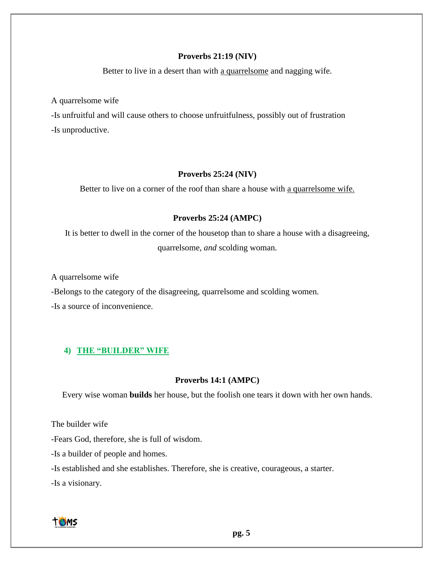## **Proverbs 21:19 (NIV)**

Better to live in a desert than with a quarrelsome and nagging wife.

A quarrelsome wife

-Is unfruitful and will cause others to choose unfruitfulness, possibly out of frustration -Is unproductive.

# **Proverbs 25:24 (NIV)**

Better to live on a corner of the roof than share a house with a quarrelsome wife.

# **Proverbs 25:24 (AMPC)**

It is better to dwell in the corner of the housetop than to share a house with a disagreeing, quarrelsome, *and* scolding woman.

A quarrelsome wife

-Belongs to the category of the disagreeing, quarrelsome and scolding women.

-Is a source of inconvenience.

# **4) THE "BUILDER" WIFE**

### **Proverbs 14:1 (AMPC)**

Every wise woman **builds** her house, but the foolish one tears it down with her own hands.

The builder wife

-Fears God, therefore, she is full of wisdom.

-Is a builder of people and homes.

-Is established and she establishes. Therefore, she is creative, courageous, a starter.

-Is a visionary.

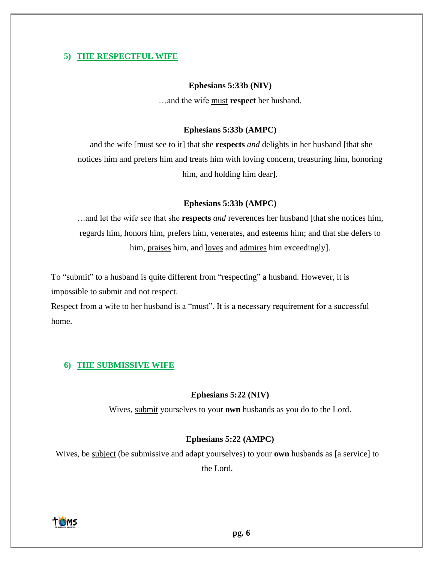# **5) THE RESPECTFUL WIFE**

#### **Ephesians 5:33b (NIV)**

…and the wife must **respect** her husband.

## **Ephesians 5:33b (AMPC)**

and the wife [must see to it] that she **respects** *and* delights in her husband [that she notices him and prefers him and treats him with loving concern, treasuring him, honoring him, and holding him dear].

#### **Ephesians 5:33b (AMPC)**

…and let the wife see that she **respects** *and* reverences her husband [that she notices him, regards him, honors him, prefers him, venerates, and esteems him; and that she defers to him, praises him, and <u>loves</u> and admires him exceedingly].

To "submit" to a husband is quite different from "respecting" a husband. However, it is impossible to submit and not respect.

Respect from a wife to her husband is a "must". It is a necessary requirement for a successful home.

## **6) THE SUBMISSIVE WIFE**

#### **Ephesians 5:22 (NIV)**

Wives, submit yourselves to your **own** husbands as you do to the Lord.

#### **Ephesians 5:22 (AMPC)**

Wives, be subject (be submissive and adapt yourselves) to your **own** husbands as [a service] to the Lord.

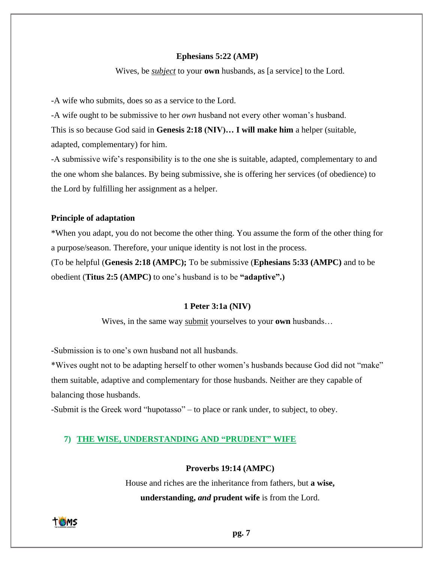#### **Ephesians 5:22 (AMP)**

Wives, be *subject* to your **own** husbands, as [a service] to the Lord.

-A wife who submits, does so as a service to the Lord.

-A wife ought to be submissive to her *own* husband not every other woman's husband.

This is so because God said in **Genesis 2:18 (NIV)… I will make him** a helper (suitable, adapted, complementary) for him.

-A submissive wife's responsibility is to the one she is suitable, adapted, complementary to and the one whom she balances. By being submissive, she is offering her services (of obedience) to the Lord by fulfilling her assignment as a helper.

#### **Principle of adaptation**

\*When you adapt, you do not become the other thing. You assume the form of the other thing for a purpose/season. Therefore, your unique identity is not lost in the process. (To be helpful (**Genesis 2:18 (AMPC);** To be submissive (**Ephesians 5:33 (AMPC)** and to be obedient (**Titus 2:5 (AMPC)** to one's husband is to be **"adaptive".)**

#### **1 Peter 3:1a (NIV)**

Wives, in the same way submit yourselves to your **own** husbands…

**-**Submission is to one's own husband not all husbands.

\*Wives ought not to be adapting herself to other women's husbands because God did not "make" them suitable, adaptive and complementary for those husbands. Neither are they capable of balancing those husbands.

-Submit is the Greek word "hupotasso" – to place or rank under, to subject, to obey.

## **7) THE WISE, UNDERSTANDING AND "PRUDENT" WIFE**

## **Proverbs 19:14 (AMPC)**

House and riches are the inheritance from fathers, but **a wise, understanding,** *and* **prudent wife** is from the Lord.

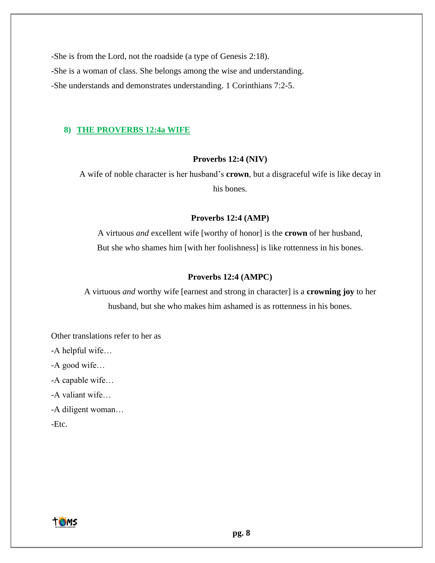-She is from the Lord, not the roadside (a type of Genesis 2:18). -She is a woman of class. She belongs among the wise and understanding. -She understands and demonstrates understanding. 1 Corinthians 7:2-5.

## **8) THE PROVERBS 12:4a WIFE**

#### **Proverbs 12:4 (NIV)**

A wife of noble character is her husband's **crown**, but a disgraceful wife is like decay in his bones.

#### **Proverbs 12:4 (AMP)**

A virtuous *and* excellent wife [worthy of honor] is the **crown** of her husband, But she who shames him [with her foolishness] is like rottenness in his bones.

## **Proverbs 12:4 (AMPC)**

A virtuous *and* worthy wife [earnest and strong in character] is a **crowning joy** to her husband, but she who makes him ashamed is as rottenness in his bones.

Other translations refer to her as

-A helpful wife…

-A good wife…

-A capable wife…

-A valiant wife…

-A diligent woman…

-Etc.

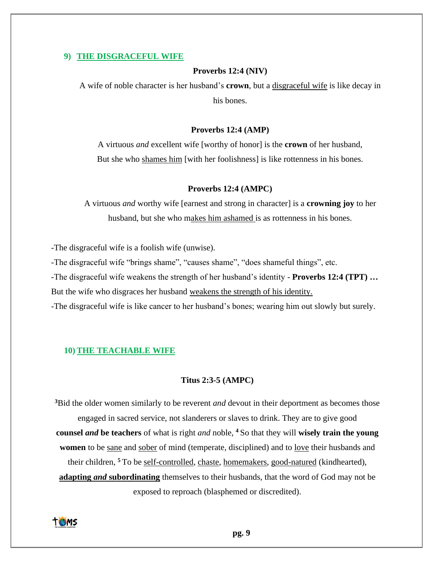#### **9) THE DISGRACEFUL WIFE**

#### **Proverbs 12:4 (NIV)**

A wife of noble character is her husband's **crown**, but a disgraceful wife is like decay in his bones.

#### **Proverbs 12:4 (AMP)**

A virtuous *and* excellent wife [worthy of honor] is the **crown** of her husband, But she who shames him [with her foolishness] is like rottenness in his bones.

#### **Proverbs 12:4 (AMPC)**

A virtuous *and* worthy wife [earnest and strong in character] is a **crowning joy** to her husband, but she who makes him ashamed is as rottenness in his bones.

-The disgraceful wife is a foolish wife (unwise).

-The disgraceful wife "brings shame", "causes shame", "does shameful things", etc.

-The disgraceful wife weakens the strength of her husband's identity - **Proverbs 12:4 (TPT) …**

But the wife who disgraces her husband weakens the strength of his identity.

-The disgraceful wife is like cancer to her husband's bones; wearing him out slowly but surely.

#### **10)THE TEACHABLE WIFE**

## **Titus 2:3-5 (AMPC)**

**<sup>3</sup>**Bid the older women similarly to be reverent *and* devout in their deportment as becomes those engaged in sacred service, not slanderers or slaves to drink. They are to give good **counsel** *and* **be teachers** of what is right *and* noble, **<sup>4</sup>** So that they will **wisely train the young women** to be sane and sober of mind (temperate, disciplined) and to love their husbands and their children, **<sup>5</sup>** To be self-controlled, chaste, homemakers, good-natured (kindhearted), **adapting** *and* **subordinating** themselves to their husbands, that the word of God may not be exposed to reproach (blasphemed or discredited).

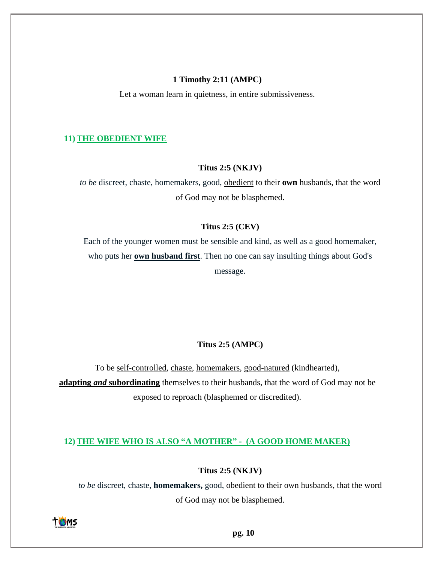#### **1 Timothy 2:11 (AMPC)**

Let a woman learn in quietness, in entire submissiveness.

#### **11)THE OBEDIENT WIFE**

#### **Titus 2:5 (NKJV)**

*to be* discreet, chaste, homemakers, good, obedient to their **own** husbands, that the word of God may not be blasphemed.

#### **Titus 2:5 (CEV)**

Each of the younger women must be sensible and kind, as well as a good homemaker, who puts her **own husband first**. Then no one can say insulting things about God's message.

#### **Titus 2:5 (AMPC)**

To be self-controlled, chaste, homemakers, good-natured (kindhearted), **adapting** *and* **subordinating** themselves to their husbands, that the word of God may not be exposed to reproach (blasphemed or discredited).

## **12)THE WIFE WHO IS ALSO "A MOTHER" - (A GOOD HOME MAKER)**

## **Titus 2:5 (NKJV)**

*to be* discreet, chaste, **homemakers,** good, obedient to their own husbands, that the word of God may not be blasphemed.

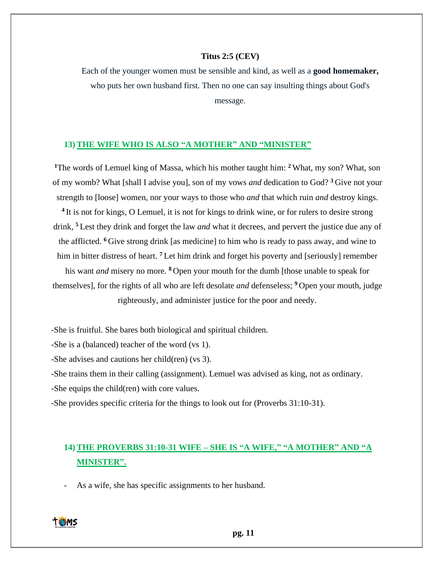#### **Titus 2:5 (CEV)**

Each of the younger women must be sensible and kind, as well as a **good homemaker,** who puts her own husband first. Then no one can say insulting things about God's message.

#### **13)THE WIFE WHO IS ALSO "A MOTHER" AND "MINISTER"**

**<sup>1</sup>**The words of Lemuel king of Massa, which his mother taught him: **<sup>2</sup>** What, my son? What, son of my womb? What [shall I advise you], son of my vows *and* dedication to God? **<sup>3</sup>** Give not your strength to [loose] women, nor your ways to those who *and* that which ruin *and* destroy kings. <sup>4</sup> It is not for kings, O Lemuel, it is not for kings to drink wine, or for rulers to desire strong drink, **<sup>5</sup>** Lest they drink and forget the law *and* what it decrees, and pervert the justice due any of the afflicted. **<sup>6</sup>** Give strong drink [as medicine] to him who is ready to pass away, and wine to him in bitter distress of heart. <sup>7</sup> Let him drink and forget his poverty and [seriously] remember his want *and* misery no more. **<sup>8</sup>** Open your mouth for the dumb [those unable to speak for themselves], for the rights of all who are left desolate *and* defenseless; **<sup>9</sup>** Open your mouth, judge righteously, and administer justice for the poor and needy.

-She is fruitful. She bares both biological and spiritual children.

-She is a (balanced) teacher of the word (vs 1).

-She advises and cautions her child(ren) (vs 3).

-She trains them in their calling (assignment). Lemuel was advised as king, not as ordinary. -She equips the child(ren) with core values.

-She provides specific criteria for the things to look out for (Proverbs 31:10-31).

# **14)THE PROVERBS 31:10-31 WIFE – SHE IS "A WIFE," "A MOTHER" AND "A MINISTER".**

As a wife, she has specific assignments to her husband.

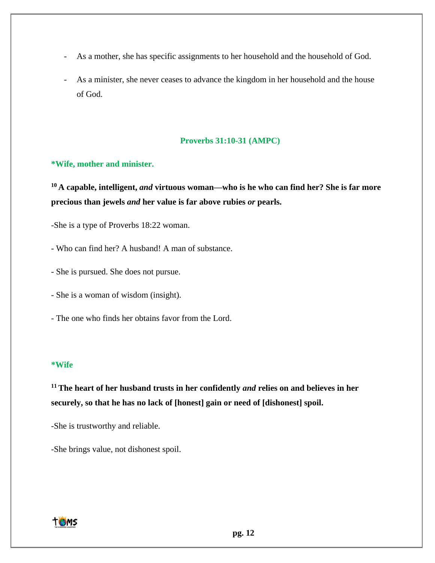- As a mother, she has specific assignments to her household and the household of God.
- As a minister, she never ceases to advance the kingdom in her household and the house of God.

## **Proverbs 31:10-31 (AMPC)**

## **\*Wife, mother and minister.**

**<sup>10</sup> A capable, intelligent,** *and* **virtuous woman—who is he who can find her? She is far more precious than jewels** *and* **her value is far above rubies** *or* **pearls.**

-She is a type of Proverbs 18:22 woman.

- Who can find her? A husband! A man of substance.
- She is pursued. She does not pursue.
- She is a woman of wisdom (insight).
- The one who finds her obtains favor from the Lord.

#### **\*Wife**

**<sup>11</sup>The heart of her husband trusts in her confidently** *and* **relies on and believes in her securely, so that he has no lack of [honest] gain or need of [dishonest] spoil.**

-She is trustworthy and reliable.

-She brings value, not dishonest spoil.

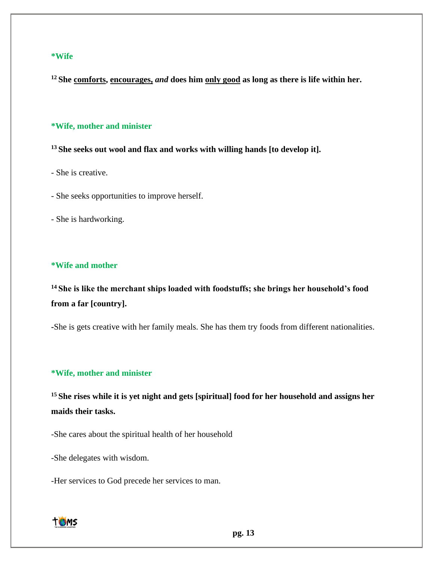#### **\*Wife**

**<sup>12</sup> She comforts, encourages,** *and* **does him only good as long as there is life within her.**

## **\*Wife, mother and minister**

**<sup>13</sup> She seeks out wool and flax and works with willing hands [to develop it].**

- She is creative.

- She seeks opportunities to improve herself.

- She is hardworking.

## **\*Wife and mother**

**<sup>14</sup> She is like the merchant ships loaded with foodstuffs; she brings her household's food from a far [country].**

**-**She is gets creative with her family meals. She has them try foods from different nationalities.

# **\*Wife, mother and minister**

<sup>15</sup> She rises while it is yet night and gets [spiritual] food for her household and assigns her **maids their tasks.**

-She cares about the spiritual health of her household

-She delegates with wisdom.

-Her services to God precede her services to man.

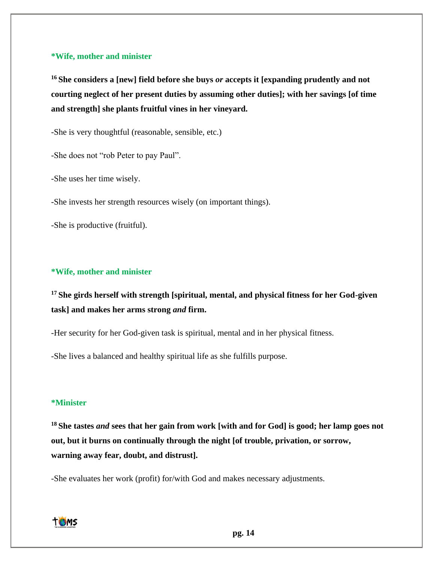#### **\*Wife, mother and minister**

**<sup>16</sup> She considers a [new] field before she buys** *or* **accepts it [expanding prudently and not courting neglect of her present duties by assuming other duties]; with her savings [of time and strength] she plants fruitful vines in her vineyard.**

-She is very thoughtful (reasonable, sensible, etc.)

-She does not "rob Peter to pay Paul".

-She uses her time wisely.

-She invests her strength resources wisely (on important things).

-She is productive (fruitful).

## **\*Wife, mother and minister**

**<sup>17</sup> She girds herself with strength [spiritual, mental, and physical fitness for her God-given task] and makes her arms strong** *and* **firm.**

-Her security for her God-given task is spiritual, mental and in her physical fitness.

-She lives a balanced and healthy spiritual life as she fulfills purpose.

## **\*Minister**

**<sup>18</sup> She tastes** *and* **sees that her gain from work [with and for God] is good; her lamp goes not out, but it burns on continually through the night [of trouble, privation, or sorrow, warning away fear, doubt, and distrust].**

-She evaluates her work (profit) for/with God and makes necessary adjustments.

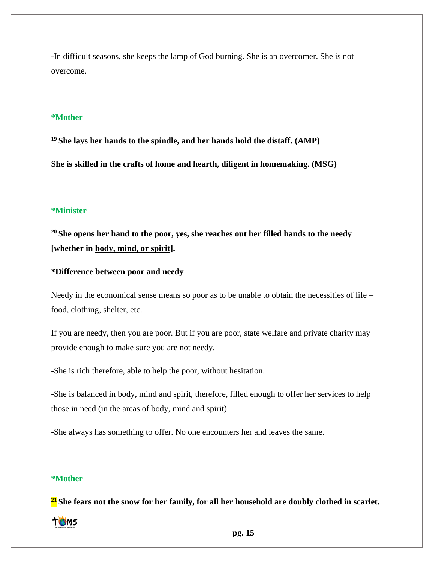-In difficult seasons, she keeps the lamp of God burning. She is an overcomer. She is not overcome.

# **\*Mother**

**<sup>19</sup> She lays her hands to the spindle, and her hands hold the distaff. (AMP)**

**She is skilled in the crafts of home and hearth, diligent in homemaking. (MSG)**

#### **\*Minister**

**<sup>20</sup> She opens her hand to the poor, yes, she reaches out her filled hands to the needy [whether in body, mind, or spirit].**

## **\*Difference between poor and needy**

Needy in the economical sense means so poor as to be unable to obtain the necessities of life – food, clothing, shelter, etc.

If you are needy, then you are poor. But if you are poor, state welfare and private charity may provide enough to make sure you are not needy.

-She is rich therefore, able to help the poor, without hesitation.

-She is balanced in body, mind and spirit, therefore, filled enough to offer her services to help those in need (in the areas of body, mind and spirit).

-She always has something to offer. No one encounters her and leaves the same.

# **\*Mother**

**<sup>21</sup> She fears not the snow for her family, for all her household are doubly clothed in scarlet.**

## **TOMS**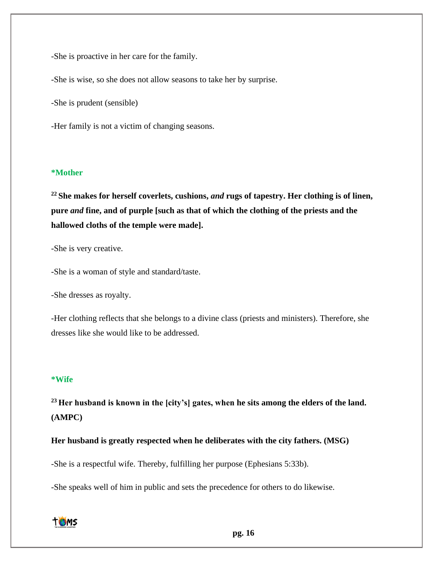-She is proactive in her care for the family.

-She is wise, so she does not allow seasons to take her by surprise.

-She is prudent (sensible)

-Her family is not a victim of changing seasons.

## **\*Mother**

**<sup>22</sup> She makes for herself coverlets, cushions,** *and* **rugs of tapestry. Her clothing is of linen, pure** *and* **fine, and of purple [such as that of which the clothing of the priests and the hallowed cloths of the temple were made].**

-She is very creative.

-She is a woman of style and standard/taste.

-She dresses as royalty.

-Her clothing reflects that she belongs to a divine class (priests and ministers). Therefore, she dresses like she would like to be addressed.

#### **\*Wife**

**<sup>23</sup> Her husband is known in the [city's] gates, when he sits among the elders of the land. (AMPC)**

**Her husband is greatly respected when he deliberates with the city fathers. (MSG)**

-She is a respectful wife. Thereby, fulfilling her purpose (Ephesians 5:33b).

-She speaks well of him in public and sets the precedence for others to do likewise.

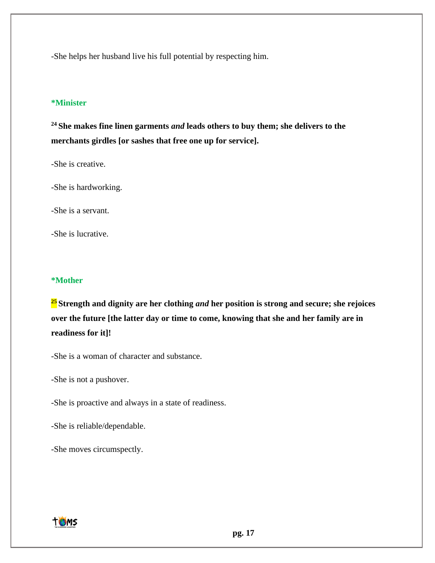-She helps her husband live his full potential by respecting him.

## **\*Minister**

**<sup>24</sup> She makes fine linen garments** *and* **leads others to buy them; she delivers to the merchants girdles [or sashes that free one up for service].**

-She is creative.

-She is hardworking.

-She is a servant.

-She is lucrative.

#### **\*Mother**

**<sup>25</sup> Strength and dignity are her clothing** *and* **her position is strong and secure; she rejoices over the future [the latter day or time to come, knowing that she and her family are in readiness for it]!**

-She is a woman of character and substance.

-She is not a pushover.

-She is proactive and always in a state of readiness.

-She is reliable/dependable.

-She moves circumspectly.

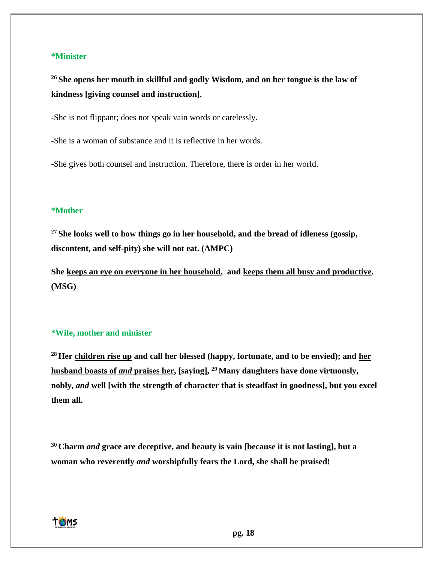#### **\*Minister**

**<sup>26</sup> She opens her mouth in skillful and godly Wisdom, and on her tongue is the law of kindness [giving counsel and instruction].**

-She is not flippant; does not speak vain words or carelessly.

-She is a woman of substance and it is reflective in her words.

-She gives both counsel and instruction. Therefore, there is order in her world.

#### **\*Mother**

**<sup>27</sup> She looks well to how things go in her household, and the bread of idleness (gossip, discontent, and self-pity) she will not eat. (AMPC)**

**She keeps an eye on everyone in her household, and keeps them all busy and productive. (MSG)**

## **\*Wife, mother and minister**

**<sup>28</sup> Her children rise up and call her blessed (happy, fortunate, and to be envied); and her husband boasts of** *and* **praises her, [saying], <sup>29</sup> Many daughters have done virtuously, nobly,** *and* **well [with the strength of character that is steadfast in goodness], but you excel them all.**

**<sup>30</sup> Charm** *and* **grace are deceptive, and beauty is vain [because it is not lasting], but a woman who reverently** *and* **worshipfully fears the Lord, she shall be praised!**